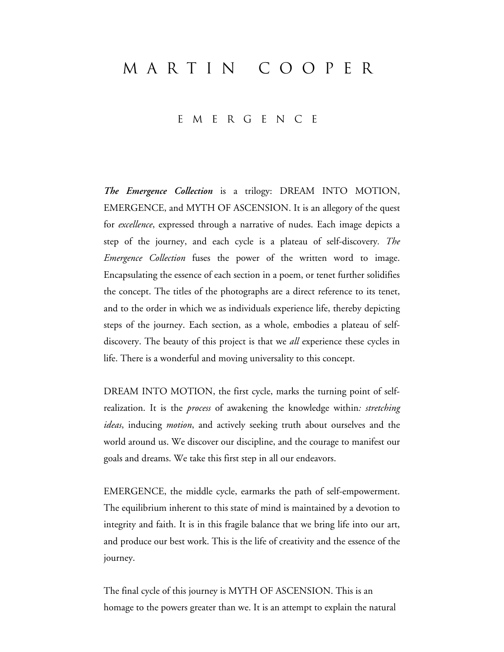## MARTIN Cooper

## EMERGENCE

*The Emergence Collection* is a trilogy: DREAM INTO MOTION, EMERGENCE, and MYTH OF ASCENSION. It is an allegory of the quest for *excellence*, expressed through a narrative of nudes. Each image depicts a step of the journey, and each cycle is a plateau of self-discovery*. The Emergence Collection* fuses the power of the written word to image. Encapsulating the essence of each section in a poem, or tenet further solidifies the concept. The titles of the photographs are a direct reference to its tenet, and to the order in which we as individuals experience life, thereby depicting steps of the journey. Each section, as a whole, embodies a plateau of selfdiscovery. The beauty of this project is that we *all* experience these cycles in life. There is a wonderful and moving universality to this concept.

DREAM INTO MOTION, the first cycle, marks the turning point of selfrealization. It is the *process* of awakening the knowledge within*: stretching ideas*, inducing *motion*, and actively seeking truth about ourselves and the world around us. We discover our discipline, and the courage to manifest our goals and dreams. We take this first step in all our endeavors.

EMERGENCE, the middle cycle, earmarks the path of self-empowerment. The equilibrium inherent to this state of mind is maintained by a devotion to integrity and faith. It is in this fragile balance that we bring life into our art, and produce our best work. This is the life of creativity and the essence of the journey.

The final cycle of this journey is MYTH OF ASCENSION. This is an homage to the powers greater than we. It is an attempt to explain the natural